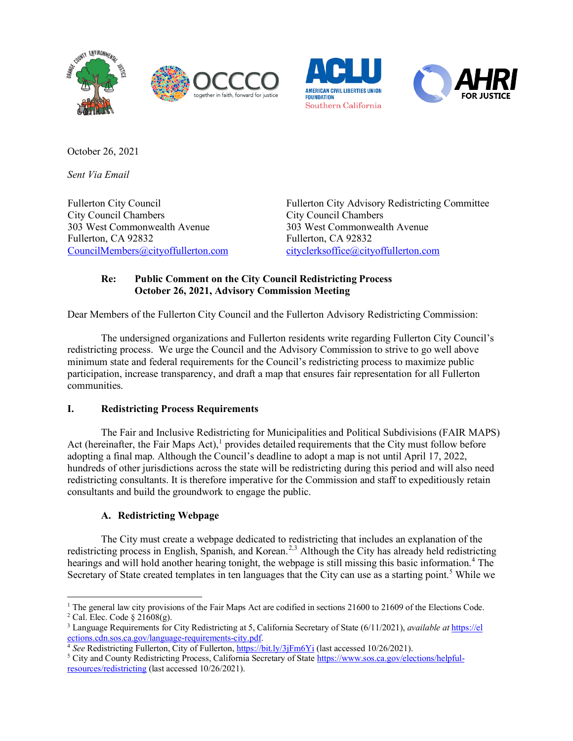







October 26, 2021

*Sent Via Email*

Fullerton City Council City Council Chambers 303 West Commonwealth Avenue Fullerton, CA 92832 [CouncilMembers@cityoffullerton.com](mailto:CouncilMembers@cityoffullerton.com)

Fullerton City Advisory Redistricting Committee City Council Chambers 303 West Commonwealth Avenue Fullerton, CA 92832 [cityclerksoffice@cityoffullerton.com](mailto:cityclerksoffice@cityoffullerton.com)

## **Re: Public Comment on the City Council Redistricting Process October 26, 2021, Advisory Commission Meeting**

Dear Members of the Fullerton City Council and the Fullerton Advisory Redistricting Commission:

The undersigned organizations and Fullerton residents write regarding Fullerton City Council's redistricting process. We urge the Council and the Advisory Commission to strive to go well above minimum state and federal requirements for the Council's redistricting process to maximize public participation, increase transparency, and draft a map that ensures fair representation for all Fullerton communities.

## **I. Redistricting Process Requirements**

The Fair and Inclusive Redistricting for Municipalities and Political Subdivisions (FAIR MAPS) Act (hereinafter, the Fair Maps Act), $<sup>1</sup>$  $<sup>1</sup>$  $<sup>1</sup>$  provides detailed requirements that the City must follow before</sup> adopting a final map. Although the Council's deadline to adopt a map is not until April 17, 2022, hundreds of other jurisdictions across the state will be redistricting during this period and will also need redistricting consultants. It is therefore imperative for the Commission and staff to expeditiously retain consultants and build the groundwork to engage the public.

# **A. Redistricting Webpage**

The City must create a webpage dedicated to redistricting that includes an explanation of the redistricting process in English, Spanish, and Korean.<sup>[2](#page-0-1),[3](#page-0-2)</sup> Although the City has already held redistricting hearings and will hold another hearing tonight, the webpage is still missing this basic information.<sup>[4](#page-0-3)</sup> The Secretary of State created templates in ten languages that the City can use as a starting point.<sup>[5](#page-0-4)</sup> While we

<span id="page-0-0"></span> $1$  The general law city provisions of the Fair Maps Act are codified in sections 21600 to 21609 of the Elections Code.  $2$  Cal. Elec. Code §  $21608(g)$ .

<span id="page-0-2"></span><span id="page-0-1"></span><sup>3</sup> Language Requirements for City Redistricting at 5, California Secretary of State (6/11/2021), *available at* [https://el](https://elections.cdn.sos.ca.gov/language-requirements-city.pdf) [ections.cdn.sos.ca.gov/language-requirements-city.pdf.](https://elections.cdn.sos.ca.gov/language-requirements-city.pdf)

<sup>4</sup> *See* Redistricting Fullerton, City of Fullerton[, https://bit.ly/3jFm6Yi](https://bit.ly/3jFm6Yi) (last accessed 10/26/2021).

<span id="page-0-4"></span><span id="page-0-3"></span><sup>&</sup>lt;sup>5</sup> City and County Redistricting Process, California Secretary of State [https://www.sos.ca.gov/elections/helpful](https://www.sos.ca.gov/elections/helpful-resources/redistricting)[resources/redistricting](https://www.sos.ca.gov/elections/helpful-resources/redistricting) (last accessed 10/26/2021).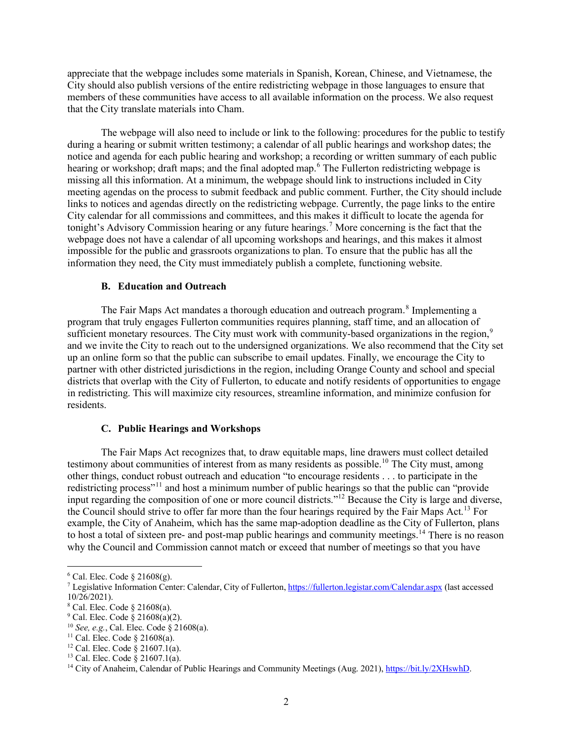appreciate that the webpage includes some materials in Spanish, Korean, Chinese, and Vietnamese, the City should also publish versions of the entire redistricting webpage in those languages to ensure that members of these communities have access to all available information on the process. We also request that the City translate materials into Cham.

The webpage will also need to include or link to the following: procedures for the public to testify during a hearing or submit written testimony; a calendar of all public hearings and workshop dates; the notice and agenda for each public hearing and workshop; a recording or written summary of each public hearing or workshop; draft maps; and the final adopted map.<sup>[6](#page-1-0)</sup> The Fullerton redistricting webpage is missing all this information. At a minimum, the webpage should link to instructions included in City meeting agendas on the process to submit feedback and public comment. Further, the City should include links to notices and agendas directly on the redistricting webpage. Currently, the page links to the entire City calendar for all commissions and committees, and this makes it difficult to locate the agenda for tonight's Advisory Commission hearing or any future hearings.<sup>[7](#page-1-1)</sup> More concerning is the fact that the webpage does not have a calendar of all upcoming workshops and hearings, and this makes it almost impossible for the public and grassroots organizations to plan. To ensure that the public has all the information they need, the City must immediately publish a complete, functioning website.

#### **B. Education and Outreach**

The Fair Maps Act mandates a thorough education and outreach program.<sup>[8](#page-1-2)</sup> Implementing a program that truly engages Fullerton communities requires planning, staff time, and an allocation of sufficient monetary resources. The City must work with community-based organizations in the region,<sup>[9](#page-1-3)</sup> and we invite the City to reach out to the undersigned organizations. We also recommend that the City set up an online form so that the public can subscribe to email updates. Finally, we encourage the City to partner with other districted jurisdictions in the region, including Orange County and school and special districts that overlap with the City of Fullerton, to educate and notify residents of opportunities to engage in redistricting. This will maximize city resources, streamline information, and minimize confusion for residents.

#### **C. Public Hearings and Workshops**

The Fair Maps Act recognizes that, to draw equitable maps, line drawers must collect detailed testimony about communities of interest from as many residents as possible.<sup>[10](#page-1-4)</sup> The City must, among other things, conduct robust outreach and education "to encourage residents . . . to participate in the redistricting process"<sup>[11](#page-1-5)</sup> and host a minimum number of public hearings so that the public can "provide" input regarding the composition of one or more council districts."[12](#page-1-6) Because the City is large and diverse, the Council should strive to offer far more than the four hearings required by the Fair Maps Act.<sup>[13](#page-1-7)</sup> For example, the City of Anaheim, which has the same map-adoption deadline as the City of Fullerton, plans to host a total of sixteen pre- and post-map public hearings and community meetings.<sup>[14](#page-1-8)</sup> There is no reason why the Council and Commission cannot match or exceed that number of meetings so that you have

<span id="page-1-0"></span> $6$  Cal. Elec. Code  $§$  21608(g).

<span id="page-1-1"></span><sup>&</sup>lt;sup>7</sup> Legislative Information Center: Calendar, City of Fullerton[, https://fullerton.legistar.com/Calendar.aspx](https://fullerton.legistar.com/Calendar.aspx) (last accessed 10/26/2021).

<span id="page-1-2"></span> $8$  Cal. Elec. Code  $§$  21608(a).

<span id="page-1-3"></span> $9$  Cal. Elec. Code  $\frac{8}{3}$  21608(a)(2).

<span id="page-1-4"></span><sup>10</sup> *See, e.g.*, Cal. Elec. Code § 21608(a).

<span id="page-1-5"></span> $11$  Cal. Elec. Code § 21608(a).

<span id="page-1-6"></span><sup>&</sup>lt;sup>12</sup> Cal. Elec. Code  $\frac{8}{9}$  21607.1(a).

<span id="page-1-7"></span><sup>13</sup> Cal. Elec. Code § 21607.1(a).

<span id="page-1-8"></span><sup>&</sup>lt;sup>14</sup> City of Anaheim, Calendar of Public Hearings and Community Meetings (Aug. 2021), [https://bit.ly/2XHswhD.](https://bit.ly/2XHswhD)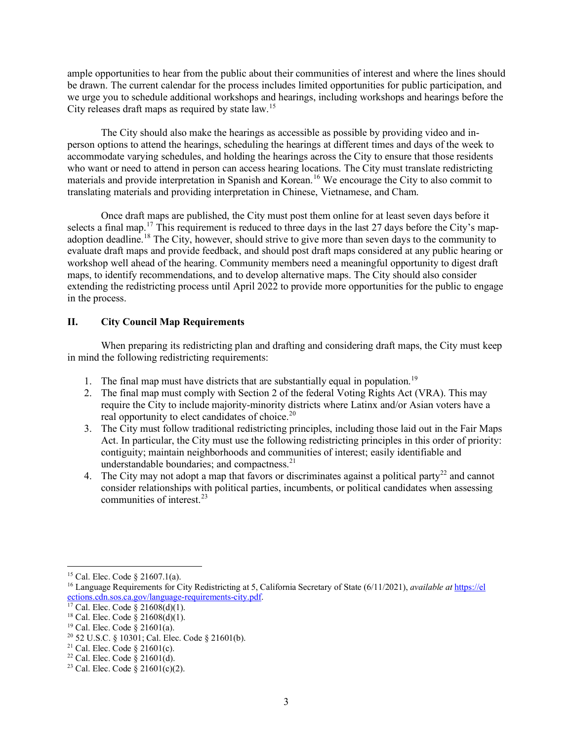ample opportunities to hear from the public about their communities of interest and where the lines should be drawn. The current calendar for the process includes limited opportunities for public participation, and we urge you to schedule additional workshops and hearings, including workshops and hearings before the City releases draft maps as required by state law.[15](#page-2-0)

The City should also make the hearings as accessible as possible by providing video and inperson options to attend the hearings, scheduling the hearings at different times and days of the week to accommodate varying schedules, and holding the hearings across the City to ensure that those residents who want or need to attend in person can access hearing locations. The City must translate redistricting materials and provide interpretation in Spanish and Korean.<sup>[16](#page-2-1)</sup> We encourage the City to also commit to translating materials and providing interpretation in Chinese, Vietnamese, and Cham.

Once draft maps are published, the City must post them online for at least seven days before it selects a final map.<sup>[17](#page-2-2)</sup> This requirement is reduced to three days in the last 27 days before the City's mapadoption deadline.[18](#page-2-3) The City, however, should strive to give more than seven days to the community to evaluate draft maps and provide feedback, and should post draft maps considered at any public hearing or workshop well ahead of the hearing. Community members need a meaningful opportunity to digest draft maps, to identify recommendations, and to develop alternative maps. The City should also consider extending the redistricting process until April 2022 to provide more opportunities for the public to engage in the process.

### **II. City Council Map Requirements**

When preparing its redistricting plan and drafting and considering draft maps, the City must keep in mind the following redistricting requirements:

- 1. The final map must have districts that are substantially equal in population.<sup>[19](#page-2-4)</sup>
- 2. The final map must comply with Section 2 of the federal Voting Rights Act (VRA). This may require the City to include majority-minority districts where Latinx and/or Asian voters have a real opportunity to elect candidates of choice.<sup>[20](#page-2-5)</sup>
- 3. The City must follow traditional redistricting principles, including those laid out in the Fair Maps Act. In particular, the City must use the following redistricting principles in this order of priority: contiguity; maintain neighborhoods and communities of interest; easily identifiable and understandable boundaries; and compactness.<sup>[21](#page-2-6)</sup>
- 4. The City may not adopt a map that favors or discriminates against a political party<sup>[22](#page-2-7)</sup> and cannot consider relationships with political parties, incumbents, or political candidates when assessing communities of interest. $23$

<span id="page-2-0"></span><sup>15</sup> Cal. Elec. Code § 21607.1(a).

<span id="page-2-1"></span><sup>16</sup> Language Requirements for City Redistricting at 5, California Secretary of State (6/11/2021), *available at* [https://el](https://elections.cdn.sos.ca.gov/language-requirements-city.pdf) [ections.cdn.sos.ca.gov/language-requirements-city.pdf.](https://elections.cdn.sos.ca.gov/language-requirements-city.pdf)

<span id="page-2-2"></span> $17$  Cal. Elec. Code § 21608(d)(1).

<span id="page-2-3"></span><sup>&</sup>lt;sup>18</sup> Cal. Elec. Code  $\frac{8}{9}$  21608(d)(1).

<span id="page-2-4"></span> $19$  Cal. Elec. Code § 21601(a).

 $20$  52 U.S.C. § 10301; Cal. Elec. Code § 21601(b).

<span id="page-2-6"></span><span id="page-2-5"></span><sup>&</sup>lt;sup>21</sup> Cal. Elec. Code  $\S$  21601(c).

<span id="page-2-7"></span><sup>&</sup>lt;sup>22</sup> Cal. Elec. Code  $\S$  21601(d).

<span id="page-2-8"></span><sup>&</sup>lt;sup>23</sup> Cal. Elec. Code  $\frac{8}{9}$  21601(c)(2).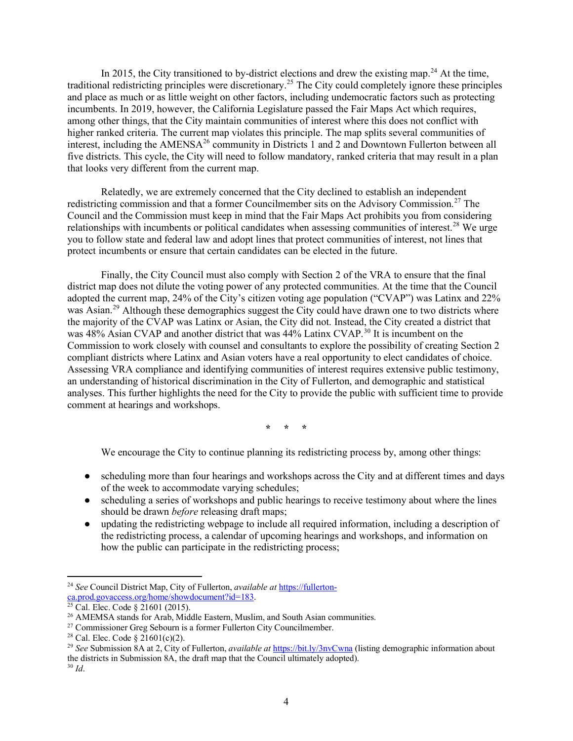In 2015, the City transitioned to by-district elections and drew the existing map.<sup>[24](#page-3-0)</sup> At the time, traditional redistricting principles were discretionary.<sup>[25](#page-3-1)</sup> The City could completely ignore these principles and place as much or as little weight on other factors, including undemocratic factors such as protecting incumbents. In 2019, however, the California Legislature passed the Fair Maps Act which requires, among other things, that the City maintain communities of interest where this does not conflict with higher ranked criteria. The current map violates this principle. The map splits several communities of interest, including the  $AMENSA<sup>26</sup>$  $AMENSA<sup>26</sup>$  $AMENSA<sup>26</sup>$  community in Districts 1 and 2 and Downtown Fullerton between all five districts. This cycle, the City will need to follow mandatory, ranked criteria that may result in a plan that looks very different from the current map.

Relatedly, we are extremely concerned that the City declined to establish an independent redistricting commission and that a former Councilmember sits on the Advisory Commission.<sup>[27](#page-3-3)</sup> The Council and the Commission must keep in mind that the Fair Maps Act prohibits you from considering relationships with incumbents or political candidates when assessing communities of interest.<sup>[28](#page-3-4)</sup> We urge you to follow state and federal law and adopt lines that protect communities of interest, not lines that protect incumbents or ensure that certain candidates can be elected in the future.

Finally, the City Council must also comply with Section 2 of the VRA to ensure that the final district map does not dilute the voting power of any protected communities. At the time that the Council adopted the current map, 24% of the City's citizen voting age population ("CVAP") was Latinx and 22% was Asian.<sup>[29](#page-3-5)</sup> Although these demographics suggest the City could have drawn one to two districts where the majority of the CVAP was Latinx or Asian, the City did not. Instead, the City created a district that was 48% Asian CVAP and another district that was 44% Latinx CVAP.<sup>[30](#page-3-6)</sup> It is incumbent on the Commission to work closely with counsel and consultants to explore the possibility of creating Section 2 compliant districts where Latinx and Asian voters have a real opportunity to elect candidates of choice. Assessing VRA compliance and identifying communities of interest requires extensive public testimony, an understanding of historical discrimination in the City of Fullerton, and demographic and statistical analyses. This further highlights the need for the City to provide the public with sufficient time to provide comment at hearings and workshops.

**\* \* \***

We encourage the City to continue planning its redistricting process by, among other things:

- scheduling more than four hearings and workshops across the City and at different times and days of the week to accommodate varying schedules;
- scheduling a series of workshops and public hearings to receive testimony about where the lines should be drawn *before* releasing draft maps;
- updating the redistricting webpage to include all required information, including a description of the redistricting process, a calendar of upcoming hearings and workshops, and information on how the public can participate in the redistricting process;

<span id="page-3-0"></span><sup>24</sup> *See* Council District Map, City of Fullerton, *available at* [https://fullerton](https://fullerton-ca.prod.govaccess.org/home/showdocument?id=183)[ca.prod.govaccess.org/home/showdocument?id=183.](https://fullerton-ca.prod.govaccess.org/home/showdocument?id=183) 25 Cal. Elec. Code § 21601 (2015).

<span id="page-3-2"></span><span id="page-3-1"></span><sup>&</sup>lt;sup>26</sup> AMEMSA stands for Arab, Middle Eastern, Muslim, and South Asian communities.

<span id="page-3-3"></span><sup>&</sup>lt;sup>27</sup> Commissioner Greg Sebourn is a former Fullerton City Councilmember.

<span id="page-3-4"></span><sup>&</sup>lt;sup>28</sup> Cal. Elec. Code §  $21601(c)(2)$ .

<span id="page-3-5"></span><sup>&</sup>lt;sup>29</sup> See Submission 8A at 2, City of Fullerton, *available at* <https://bit.ly/3nvCwna> (listing demographic information about the districts in Submission 8A, the draft map that the Council ultimately adopted).

<span id="page-3-6"></span><sup>30</sup> *Id*.